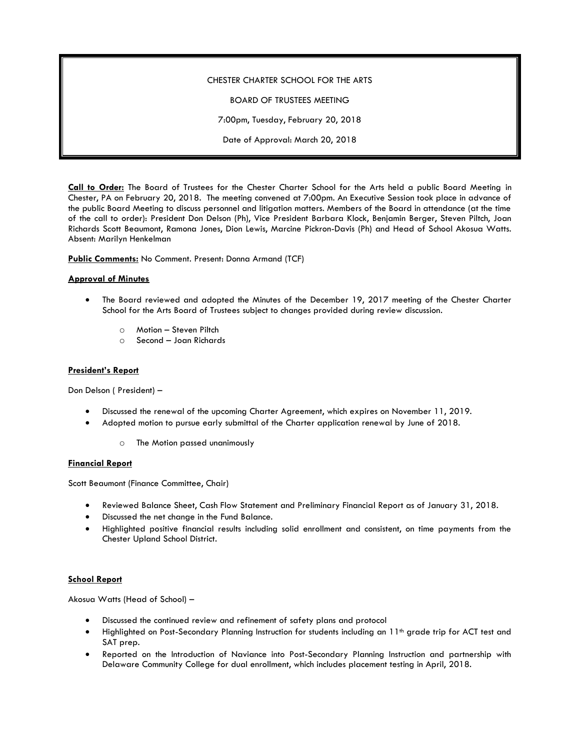# CHESTER CHARTER SCHOOL FOR THE ARTS

BOARD OF TRUSTEES MEETING

7:00pm, Tuesday, February 20, 2018

Date of Approval: March 20, 2018

**Call to Order:** The Board of Trustees for the Chester Charter School for the Arts held a public Board Meeting in Chester, PA on February 20, 2018. The meeting convened at 7:00pm. An Executive Session took place in advance of the public Board Meeting to discuss personnel and litigation matters. Members of the Board in attendance (at the time of the call to order): President Don Delson (Ph), Vice President Barbara Klock, Benjamin Berger, Steven Piltch, Joan Richards Scott Beaumont, Ramona Jones, Dion Lewis, Marcine Pickron-Davis (Ph) and Head of School Akosua Watts. Absent: Marilyn Henkelman

**Public Comments:** No Comment. Present: Donna Armand (TCF)

# **Approval of Minutes**

- The Board reviewed and adopted the Minutes of the December 19, 2017 meeting of the Chester Charter School for the Arts Board of Trustees subject to changes provided during review discussion.
	- o Motion Steven Piltch
	- o Second Joan Richards

#### **President's Report**

Don Delson ( President) –

- Discussed the renewal of the upcoming Charter Agreement, which expires on November 11, 2019.
- Adopted motion to pursue early submittal of the Charter application renewal by June of 2018.
	- o The Motion passed unanimously

# **Financial Report**

Scott Beaumont (Finance Committee, Chair)

- Reviewed Balance Sheet, Cash Flow Statement and Preliminary Financial Report as of January 31, 2018.
- Discussed the net change in the Fund Balance.
- Highlighted positive financial results including solid enrollment and consistent, on time payments from the Chester Upland School District.

#### **School Report**

Akosua Watts (Head of School) –

- Discussed the continued review and refinement of safety plans and protocol
- Highlighted on Post-Secondary Planning Instruction for students including an 11<sup>th</sup> grade trip for ACT test and SAT prep.
- Reported on the Introduction of Naviance into Post-Secondary Planning Instruction and partnership with Delaware Community College for dual enrollment, which includes placement testing in April, 2018.